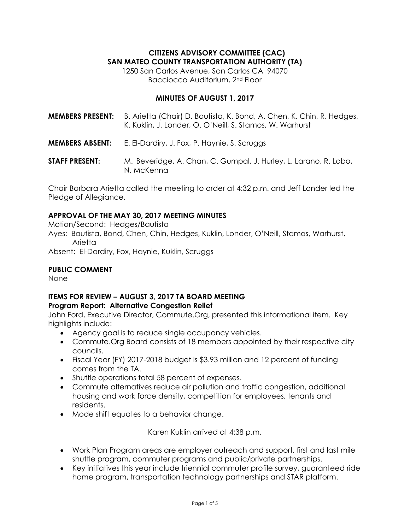# **CITIZENS ADVISORY COMMITTEE (CAC) SAN MATEO COUNTY TRANSPORTATION AUTHORITY (TA)**

1250 San Carlos Avenue, San Carlos CA 94070 Bacciocco Auditorium, 2nd Floor

# **MINUTES OF AUGUST 1, 2017**

- **MEMBERS PRESENT:** B. Arietta (Chair) D. Bautista, K. Bond, A. Chen, K. Chin, R. Hedges, K. Kuklin, J. Londer, O. O'Neill, S. Stamos, W. Warhurst
- **MEMBERS ABSENT:** E. El-Dardiry, J. Fox, P. Haynie, S. Scruggs
- **STAFF PRESENT:** M. Beveridge, A. Chan, C. Gumpal, J. Hurley, L. Larano, R. Lobo, N. McKenna

Chair Barbara Arietta called the meeting to order at 4:32 p.m. and Jeff Londer led the Pledge of Allegiance.

# **APPROVAL OF THE MAY 30, 2017 MEETING MINUTES**

Motion/Second: Hedges/Bautista

Ayes: Bautista, Bond, Chen, Chin, Hedges, Kuklin, Londer, O'Neill, Stamos, Warhurst, Arietta

Absent: El-Dardiry, Fox, Haynie, Kuklin, Scruggs

## **PUBLIC COMMENT**

None

#### **ITEMS FOR REVIEW – AUGUST 3, 2017 TA BOARD MEETING Program Report: Alternative Congestion Relief**

John Ford, Executive Director, Commute.Org, presented this informational item. Key highlights include:

- Agency goal is to reduce single occupancy vehicles.
- Commute.Org Board consists of 18 members appointed by their respective city councils.
- Fiscal Year (FY) 2017-2018 budget is \$3.93 million and 12 percent of funding comes from the TA.
- Shuttle operations total 58 percent of expenses.
- Commute alternatives reduce air pollution and traffic congestion, additional housing and work force density, competition for employees, tenants and residents.
- Mode shift equates to a behavior change.

Karen Kuklin arrived at 4:38 p.m.

- Work Plan Program areas are employer outreach and support, first and last mile shuttle program, commuter programs and public/private partnerships.
- Key initiatives this year include triennial commuter profile survey, guaranteed ride home program, transportation technology partnerships and STAR platform.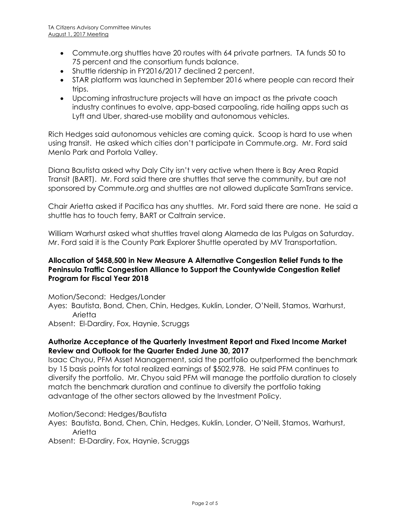- Commute.org shuttles have 20 routes with 64 private partners. TA funds 50 to 75 percent and the consortium funds balance.
- Shuttle ridership in FY2016/2017 declined 2 percent.
- STAR platform was launched in September 2016 where people can record their trips.
- Upcoming infrastructure projects will have an impact as the private coach industry continues to evolve, app-based carpooling, ride hailing apps such as Lyft and Uber, shared-use mobility and autonomous vehicles.

Rich Hedges said autonomous vehicles are coming quick. Scoop is hard to use when using transit. He asked which cities don't participate in Commute.org. Mr. Ford said Menlo Park and Portola Valley.

Diana Bautista asked why Daly City isn't very active when there is Bay Area Rapid Transit (BART). Mr. Ford said there are shuttles that serve the community, but are not sponsored by Commute.org and shuttles are not allowed duplicate SamTrans service.

Chair Arietta asked if Pacifica has any shuttles. Mr. Ford said there are none. He said a shuttle has to touch ferry, BART or Caltrain service.

William Warhurst asked what shuttles travel along Alameda de las Pulgas on Saturday. Mr. Ford said it is the County Park Explorer Shuttle operated by MV Transportation.

# **Allocation of \$458,500 in New Measure A Alternative Congestion Relief Funds to the Peninsula Traffic Congestion Alliance to Support the Countywide Congestion Relief Program for Fiscal Year 2018**

Motion/Second: Hedges/Londer Ayes: Bautista, Bond, Chen, Chin, Hedges, Kuklin, Londer, O'Neill, Stamos, Warhurst, Arietta

Absent: El-Dardiry, Fox, Haynie, Scruggs

# **Authorize Acceptance of the Quarterly Investment Report and Fixed Income Market Review and Outlook for the Quarter Ended June 30, 2017**

Isaac Chyou, PFM Asset Management, said the portfolio outperformed the benchmark by 15 basis points for total realized earnings of \$502,978. He said PFM continues to diversify the portfolio. Mr. Chyou said PFM will manage the portfolio duration to closely match the benchmark duration and continue to diversify the portfolio taking advantage of the other sectors allowed by the Investment Policy.

Motion/Second: Hedges/Bautista

Ayes: Bautista, Bond, Chen, Chin, Hedges, Kuklin, Londer, O'Neill, Stamos, Warhurst, Arietta

Absent: El-Dardiry, Fox, Haynie, Scruggs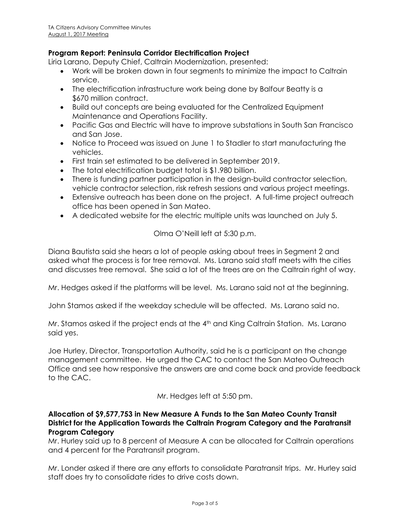# **Program Report: Peninsula Corridor Electrification Project**

Liria Larano, Deputy Chief, Caltrain Modernization, presented:

- Work will be broken down in four segments to minimize the impact to Caltrain service.
- The electrification infrastructure work being done by Balfour Beatty is a \$670 million contract.
- Build out concepts are being evaluated for the Centralized Equipment Maintenance and Operations Facility.
- Pacific Gas and Electric will have to improve substations in South San Francisco and San Jose.
- Notice to Proceed was issued on June 1 to Stadler to start manufacturing the vehicles.
- First train set estimated to be delivered in September 2019.
- The total electrification budget total is \$1.980 billion.
- There is funding partner participation in the design-build contractor selection, vehicle contractor selection, risk refresh sessions and various project meetings.
- Extensive outreach has been done on the project. A full-time project outreach office has been opened in San Mateo.
- A dedicated website for the electric multiple units was launched on July 5.

Olma O'Neill left at 5:30 p.m.

Diana Bautista said she hears a lot of people asking about trees in Segment 2 and asked what the process is for tree removal. Ms. Larano said staff meets with the cities and discusses tree removal. She said a lot of the trees are on the Caltrain right of way.

Mr. Hedges asked if the platforms will be level. Ms. Larano said not at the beginning.

John Stamos asked if the weekday schedule will be affected. Ms. Larano said no.

Mr. Stamos asked if the project ends at the 4<sup>th</sup> and King Caltrain Station. Ms. Larano said yes.

Joe Hurley, Director, Transportation Authority, said he is a participant on the change management committee. He urged the CAC to contact the San Mateo Outreach Office and see how responsive the answers are and come back and provide feedback to the CAC.

Mr. Hedges left at 5:50 pm.

# **Allocation of \$9,577,753 in New Measure A Funds to the San Mateo County Transit District for the Application Towards the Caltrain Program Category and the Paratransit Program Category**

Mr. Hurley said up to 8 percent of Measure A can be allocated for Caltrain operations and 4 percent for the Paratransit program.

Mr. Londer asked if there are any efforts to consolidate Paratransit trips. Mr. Hurley said staff does try to consolidate rides to drive costs down.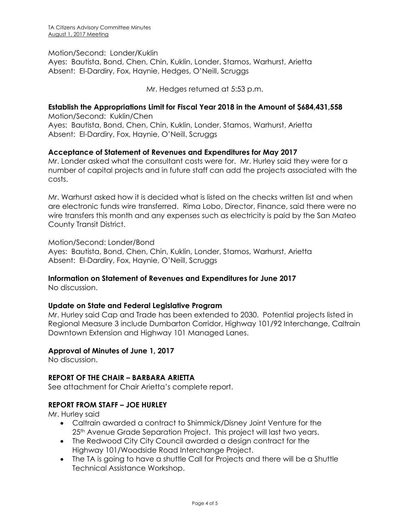#### Motion/Second: Londer/Kuklin

Ayes: Bautista, Bond, Chen, Chin, Kuklin, Londer, Stamos, Warhurst, Arietta Absent: El-Dardiry, Fox, Haynie, Hedges, O'Neill, Scruggs

Mr. Hedges returned at 5:53 p.m.

#### **Establish the Appropriations Limit for Fiscal Year 2018 in the Amount of \$684,431,558**

Motion/Second: Kuklin/Chen Ayes: Bautista, Bond, Chen, Chin, Kuklin, Londer, Stamos, Warhurst, Arietta Absent: El-Dardiry, Fox, Haynie, O'Neill, Scruggs

## **Acceptance of Statement of Revenues and Expenditures for May 2017**

Mr. Londer asked what the consultant costs were for. Mr. Hurley said they were for a number of capital projects and in future staff can add the projects associated with the costs.

Mr. Warhurst asked how it is decided what is listed on the checks written list and when are electronic funds wire transferred. Rima Lobo, Director, Finance, said there were no wire transfers this month and any expenses such as electricity is paid by the San Mateo County Transit District.

Motion/Second: Londer/Bond Ayes: Bautista, Bond, Chen, Chin, Kuklin, Londer, Stamos, Warhurst, Arietta Absent: El-Dardiry, Fox, Haynie, O'Neill, Scruggs

## **Information on Statement of Revenues and Expenditures for June 2017**

No discussion.

## **Update on State and Federal Legislative Program**

Mr. Hurley said Cap and Trade has been extended to 2030. Potential projects listed in Regional Measure 3 include Dumbarton Corridor, Highway 101/92 Interchange, Caltrain Downtown Extension and Highway 101 Managed Lanes.

#### **Approval of Minutes of June 1, 2017**

No discussion.

#### **REPORT OF THE CHAIR – BARBARA ARIETTA**

See attachment for Chair Arietta's complete report.

## **REPORT FROM STAFF – JOE HURLEY**

Mr. Hurley said

- Caltrain awarded a contract to Shimmick/Disney Joint Venture for the 25<sup>th</sup> Avenue Grade Separation Project. This project will last two years.
- The Redwood City City Council awarded a design contract for the Highway 101/Woodside Road Interchange Project.
- The TA is going to have a shuttle Call for Projects and there will be a Shuttle Technical Assistance Workshop.